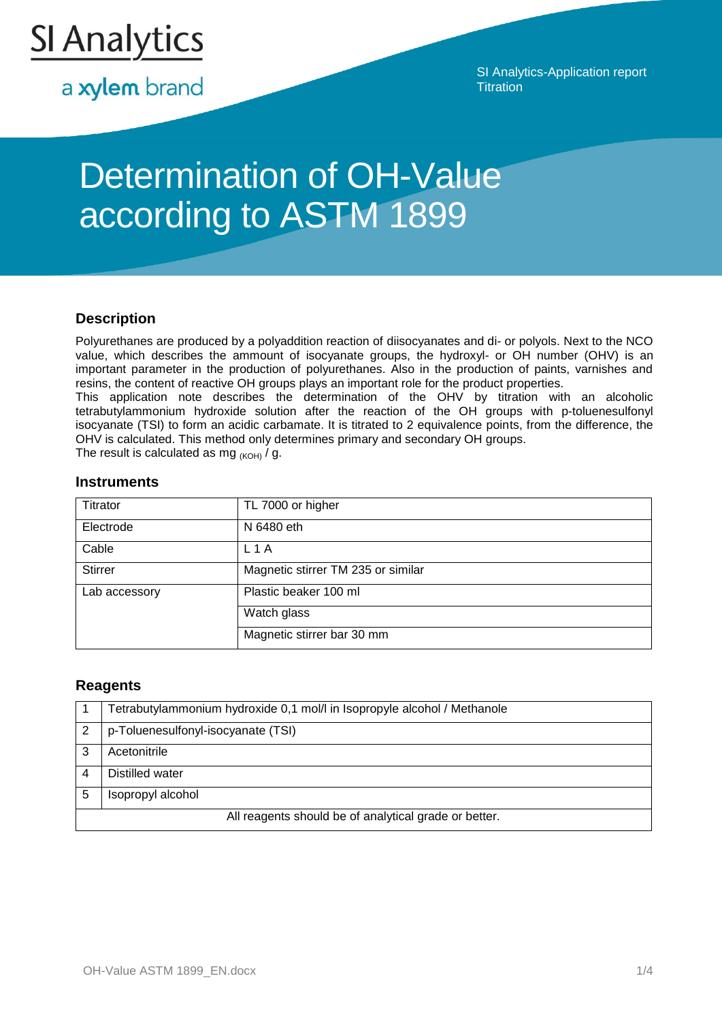

a xylem brand

SI Analytics-Application report **Titration** 

# Determination of OH-Value according to ASTM 1899

## **Description**

Polyurethanes are produced by a polyaddition reaction of diisocyanates and di- or polyols. Next to the NCO value, which describes the ammount of isocyanate groups, the hydroxyl- or OH number (OHV) is an important parameter in the production of polyurethanes. Also in the production of paints, varnishes and resins, the content of reactive OH groups plays an important role for the product properties.

This application note describes the determination of the OHV by titration with an alcoholic tetrabutylammonium hydroxide solution after the reaction of the OH groups with p-toluenesulfonyl isocyanate (TSI) to form an acidic carbamate. It is titrated to 2 equivalence points, from the difference, the OHV is calculated. This method only determines primary and secondary OH groups. The result is calculated as mg  $(KOH)$  / g.

## **Instruments**

| Titrator       | TL 7000 or higher                  |  |
|----------------|------------------------------------|--|
| Electrode      | N 6480 eth                         |  |
| Cable          | L 1 A                              |  |
| <b>Stirrer</b> | Magnetic stirrer TM 235 or similar |  |
| Lab accessory  | Plastic beaker 100 ml              |  |
|                | Watch glass                        |  |
|                | Magnetic stirrer bar 30 mm         |  |

## **Reagents**

|   | Tetrabutylammonium hydroxide 0,1 mol/l in Isopropyle alcohol / Methanole |  |  |
|---|--------------------------------------------------------------------------|--|--|
|   | p-Toluenesulfonyl-isocyanate (TSI)                                       |  |  |
| 3 | Acetonitrile                                                             |  |  |
|   | Distilled water                                                          |  |  |
| 5 | Isopropyl alcohol                                                        |  |  |
|   | All reagents should be of analytical grade or better.                    |  |  |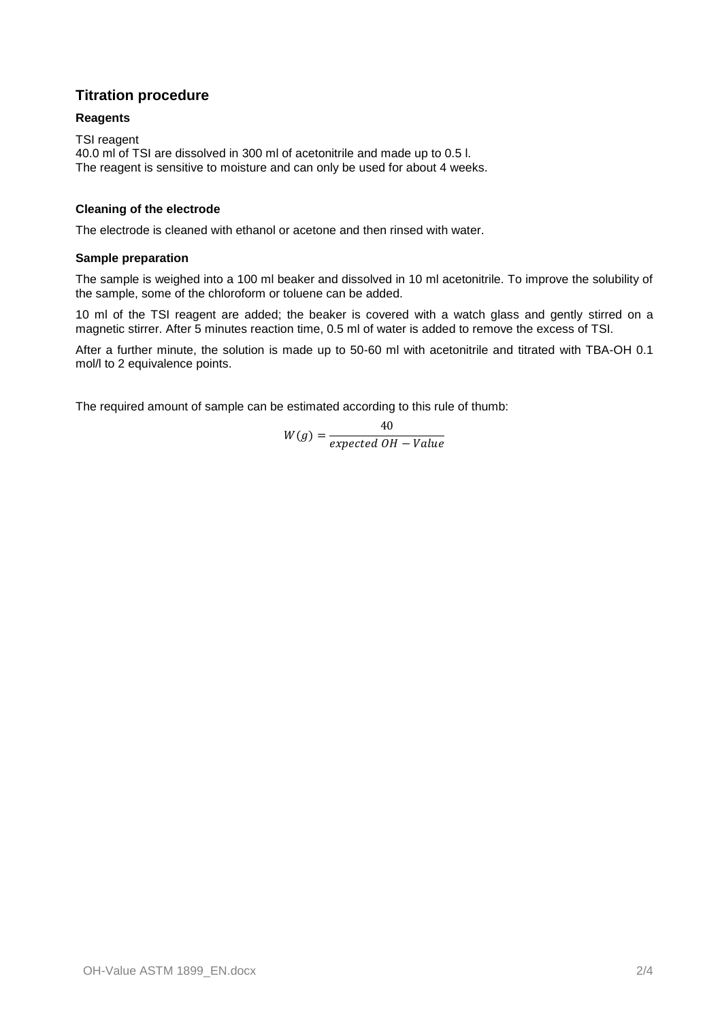## **Titration procedure**

#### **Reagents**

TSI reagent 40.0 ml of TSI are dissolved in 300 ml of acetonitrile and made up to 0.5 l. The reagent is sensitive to moisture and can only be used for about 4 weeks.

### **Cleaning of the electrode**

The electrode is cleaned with ethanol or acetone and then rinsed with water.

#### **Sample preparation**

The sample is weighed into a 100 ml beaker and dissolved in 10 ml acetonitrile. To improve the solubility of the sample, some of the chloroform or toluene can be added.

10 ml of the TSI reagent are added; the beaker is covered with a watch glass and gently stirred on a magnetic stirrer. After 5 minutes reaction time, 0.5 ml of water is added to remove the excess of TSI.

After a further minute, the solution is made up to 50-60 ml with acetonitrile and titrated with TBA-OH 0.1 mol/l to 2 equivalence points.

The required amount of sample can be estimated according to this rule of thumb:

$$
W(g) = \frac{40}{expected\ OH - Value}
$$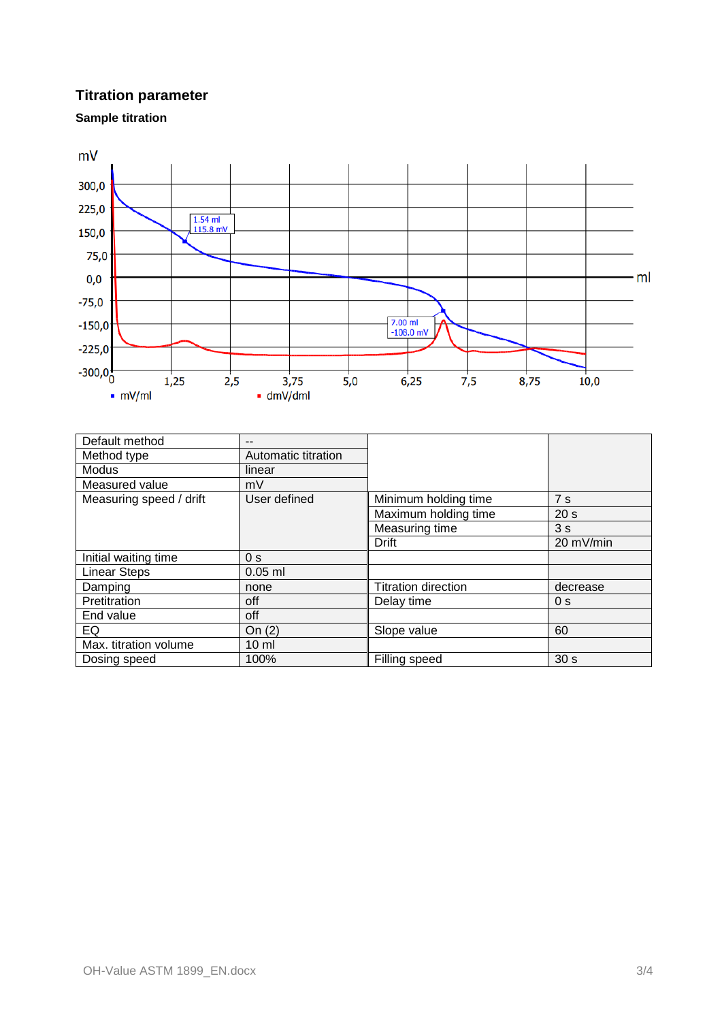## **Titration parameter**

**Sample titration**



| Default method          | --                  |                            |                 |
|-------------------------|---------------------|----------------------------|-----------------|
| Method type             | Automatic titration |                            |                 |
| Modus                   | linear              |                            |                 |
| Measured value          | mV                  |                            |                 |
| Measuring speed / drift | User defined        | Minimum holding time       | 7 <sub>s</sub>  |
|                         |                     | Maximum holding time       | 20 <sub>s</sub> |
|                         |                     | Measuring time             | 3s              |
|                         |                     | Drift                      | 20 mV/min       |
| Initial waiting time    | 0 <sub>s</sub>      |                            |                 |
| <b>Linear Steps</b>     | $0.05$ ml           |                            |                 |
| Damping                 | none                | <b>Titration direction</b> | decrease        |
| Pretitration            | off                 | Delay time                 | 0 <sub>s</sub>  |
| End value               | off                 |                            |                 |
| EQ                      | On $(2)$            | Slope value                | 60              |
| Max. titration volume   | $10 \mathrm{m}$     |                            |                 |
| Dosing speed            | 100%                | Filling speed              | 30 <sub>s</sub> |